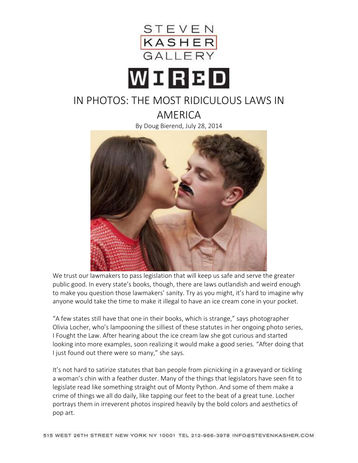

## WORBD

## IN PHOTOS: THE MOST RIDICULOUS LAWS IN AMERICA

By Doug Bierend, July 28, 2014



We trust our lawmakers to pass legislation that will keep us safe and serve the greater public good. In every state's books, though, there are laws outlandish and weird enough to make you question those lawmakers' sanity. Try as you might, it's hard to imagine why anyone would take the time to make it illegal to have an ice cream cone in your pocket.

"A few states still have that one in their books, which is strange," says photographer Olivia Locher, who's lampooning the silliest of these statutes in her ongoing photo series, I Fought the Law. After hearing about the ice cream law she got curious and started looking into more examples, soon realizing it would make a good series. "After doing that I just found out there were so many," she says.

It's not hard to satirize statutes that ban people from picnicking in a graveyard or tickling a woman's chin with a feather duster. Many of the things that legislators have seen fit to legislate read like something straight out of Monty Python. And some of them make a crime of things we all do daily, like tapping our feet to the beat of a great tune. Locher portrays them in irreverent photos inspired heavily by the bold colors and aesthetics of pop art.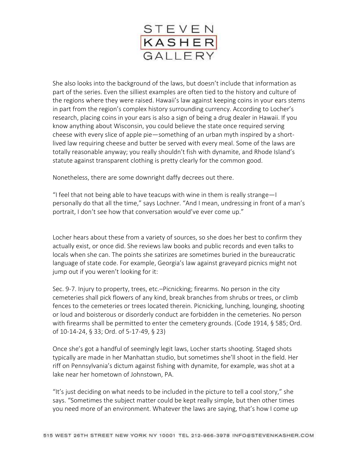

She also looks into the background of the laws, but doesn't include that information as part of the series. Even the silliest examples are often tied to the history and culture of the regions where they were raised. Hawaii's law against keeping coins in your ears stems in part from the region's complex history surrounding currency. According to Locher's research, placing coins in your ears is also a sign of being a drug dealer in Hawaii. If you know anything about Wisconsin, you could believe the state once required serving cheese with every slice of apple pie—something of an urban myth inspired by a shortlived law requiring cheese and butter be served with every meal. Some of the laws are totally reasonable anyway; you really shouldn't fish with dynamite, and Rhode Island's statute against transparent clothing is pretty clearly for the common good.

Nonetheless, there are some downright daffy decrees out there.

"I feel that not being able to have teacups with wine in them is really strange—I personally do that all the time," says Lochner. "And I mean, undressing in front of a man's portrait, I don't see how that conversation would've ever come up."

Locher hears about these from a variety of sources, so she does her best to confirm they actually exist, or once did. She reviews law books and public records and even talks to locals when she can. The points she satirizes are sometimes buried in the bureaucratic language of state code. For example, Georgia's law against graveyard picnics might not jump out if you weren't looking for it:

Sec. 9-7. Injury to property, trees, etc.–Picnicking; firearms. No person in the city cemeteries shall pick flowers of any kind, break branches from shrubs or trees, or climb fences to the cemeteries or trees located therein. Picnicking, lunching, lounging, shooting or loud and boisterous or disorderly conduct are forbidden in the cemeteries. No person with firearms shall be permitted to enter the cemetery grounds. (Code 1914, § 585; Ord. of 10-14-24, § 33; Ord. of 5-17-49, § 23)

Once she's got a handful of seemingly legit laws, Locher starts shooting. Staged shots typically are made in her Manhattan studio, but sometimes she'll shoot in the field. Her riff on Pennsylvania's dictum against fishing with dynamite, for example, was shot at a lake near her hometown of Johnstown, PA.

"It's just deciding on what needs to be included in the picture to tell a cool story," she says. "Sometimes the subject matter could be kept really simple, but then other times you need more of an environment. Whatever the laws are saying, that's how I come up